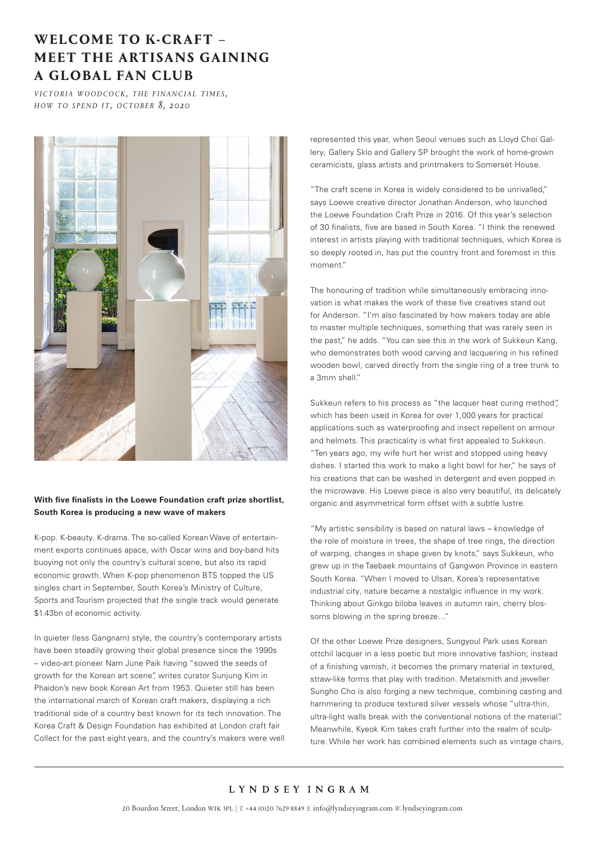## **WELCOME TO K-CRAFT – MEET THE ARTISANS GAINING A GLOBAL FAN CLUB**

*v i c t o R i a woopcock, the financial times, h o w t o s p e n d i t, o c t o b e r 8, 2020*



## **With five finalists in the Loewe Foundation craft prize shortlist, South Korea is producing a new wave of makers**

K-pop. K-beauty. K-drama. The so-called Korean Wave of entertainment exports continues apace, with Oscar wins and boy-band hits buoying not only the country's cultural scene, but also its rapid economic growth. When K-pop phenomenon BTS topped the US singles chart in September, South Korea's Ministry of Culture, Sports and Tourism projected that the single track would generate \$1.43bn of economic activity.

In quieter (less Gangnam) style, the country's contemporary artists have been steadily growing their global presence since the 1990s – video-art pioneer Nam June Paik having "sowed the seeds of growth for the Korean art scene", writes curator Sunjung Kim in Phaidon's new book Korean Art from 1953. Quieter still has been the international march of Korean craft makers, displaying a rich traditional side of a country best known for its tech innovation. The Korea Craft & Design Foundation has exhibited at London craft fair Collect for the past eight years, and the country's makers were well represented this year, when Seoul venues such as Lloyd Choi Gallery, Gallery Sklo and Gallery SP brought the work of home-grown ceramicists, glass artists and printmakers to Somerset House.

"The craft scene in Korea is widely considered to be unrivalled," says Loewe creative director Jonathan Anderson, who launched the Loewe Foundation Craft Prize in 2016. Of this year's selection of 30 finalists, five are based in South Korea. "I think the renewed interest in artists playing with traditional techniques, which Korea is so deeply rooted in, has put the country front and foremost in this moment."

The honouring of tradition while simultaneously embracing innovation is what makes the work of these five creatives stand out for Anderson. "I'm also fascinated by how makers today are able to master multiple techniques, something that was rarely seen in the past," he adds. "You can see this in the work of Sukkeun Kang, who demonstrates both wood carving and lacquering in his refined wooden bowl, carved directly from the single ring of a tree trunk to a 3mm shell."

Sukkeun refers to his process as "the lacquer heat curing method". which has been used in Korea for over 1,000 years for practical applications such as waterproofing and insect repellent on armour and helmets. This practicality is what first appealed to Sukkeun. "Ten years ago, my wife hurt her wrist and stopped using heavy dishes. I started this work to make a light bowl for her," he says of his creations that can be washed in detergent and even popped in the microwave. His Loewe piece is also very beautiful, its delicately organic and asymmetrical form offset with a subtle lustre.

"My artistic sensibility is based on natural laws – knowledge of the role of moisture in trees, the shape of tree rings, the direction of warping, changes in shape given by knots," says Sukkeun, who grew up in the Taebaek mountains of Gangwon Province in eastern South Korea. "When I moved to Ulsan, Korea's representative industrial city, nature became a nostalgic influence in my work. Thinking about Ginkgo biloba leaves in autumn rain, cherry blossoms blowing in the spring breeze…"

Of the other Loewe Prize designers, Sungyoul Park uses Korean ottchil lacquer in a less poetic but more innovative fashion; instead of a finishing varnish, it becomes the primary material in textured, straw-like forms that play with tradition. Metalsmith and jeweller Sungho Cho is also forging a new technique, combining casting and hammering to produce textured silver vessels whose "ultra-thin, ultra-light walls break with the conventional notions of the material". Meanwhile, Kyeok Kim takes craft further into the realm of sculpture. While her work has combined elements such as vintage chairs,

## LYNDSEY INGRAM